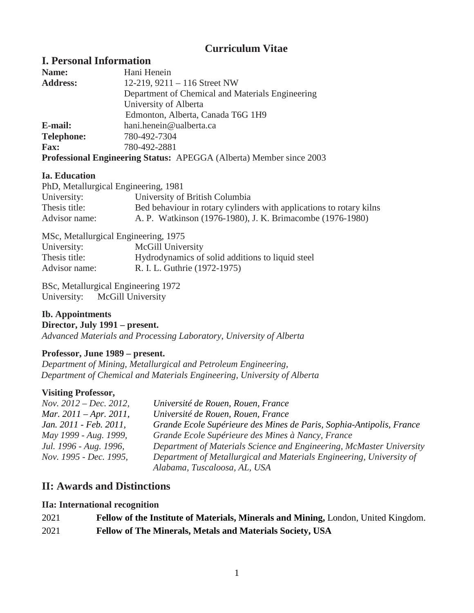# **Curriculum Vitae**

# **I. Personal Information**

| Name:             | Hani Henein                                                                |
|-------------------|----------------------------------------------------------------------------|
| <b>Address:</b>   | 12-219, $9211 - 116$ Street NW                                             |
|                   | Department of Chemical and Materials Engineering                           |
|                   | University of Alberta                                                      |
|                   | Edmonton, Alberta, Canada T6G 1H9                                          |
| E-mail:           | hani.henein@ualberta.ca                                                    |
| <b>Telephone:</b> | 780-492-7304                                                               |
| <b>Fax:</b>       | 780-492-2881                                                               |
|                   | <b>Professional Engineering Status: APEGGA (Alberta) Member since 2003</b> |

### **Ia. Education**

| PhD, Metallurgical Engineering, 1981 |                                                                     |  |
|--------------------------------------|---------------------------------------------------------------------|--|
| University:                          | University of British Columbia                                      |  |
| Thesis title:                        | Bed behaviour in rotary cylinders with applications to rotary kilns |  |
| Advisor name:                        | A. P. Watkinson (1976-1980), J. K. Brimacombe (1976-1980)           |  |

MSc, Metallurgical Engineering*,* 1975 University: McGill University Thesis title: Hydrodynamics of solid additions to liquid steel Advisor name: R. I. L. Guthrie (1972-1975)

BSc, Metallurgical Engineering 1972 University: McGill University

#### **Ib. Appointments Director, July 1991 – present.** *Advanced Materials and Processing Laboratory, University of Alberta*

# **Professor, June 1989 – present.**

*Department of Mining, Metallurgical and Petroleum Engineering, Department of Chemical and Materials Engineering, University of Alberta*

# **Visiting Professor,**

| Nov. $2012 - Dec. 2012$ , | Université de Rouen, Rouen, France                                   |
|---------------------------|----------------------------------------------------------------------|
| Mar. $2011 - Apr. 2011$ , | Université de Rouen, Rouen, France                                   |
| Jan. 2011 - Feb. 2011,    | Grande Ecole Supérieure des Mines de Paris, Sophia-Antipolis, France |
| May 1999 - Aug. 1999,     | Grande Ecole Supérieure des Mines à Nancy, France                    |
| Jul. 1996 - Aug. 1996,    | Department of Materials Science and Engineering, McMaster University |
| Nov. 1995 - Dec. 1995,    | Department of Metallurgical and Materials Engineering, University of |
|                           | Alabama, Tuscaloosa, AL, USA                                         |

# **II: Awards and Distinctions**

# **IIa: International recognition**

| 2021 | Fellow of the Institute of Materials, Minerals and Mining, London, United Kingdom. |
|------|------------------------------------------------------------------------------------|
| 2021 | Fellow of The Minerals, Metals and Materials Society, USA                          |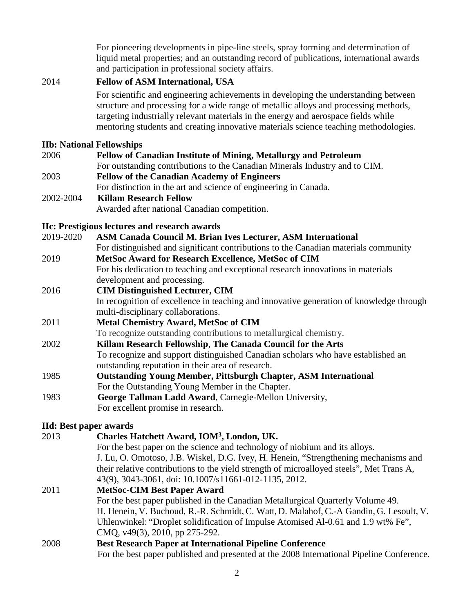For pioneering developments in pipe-line steels, spray forming and determination of liquid metal properties; and an outstanding record of publications, international awards and participation in professional society affairs.

### 2014 **Fellow of ASM International, USA**

For scientific and engineering achievements in developing the understanding between structure and processing for a wide range of metallic alloys and processing methods, targeting industrially relevant materials in the energy and aerospace fields while mentoring students and creating innovative materials science teaching methodologies.

### **IIb: National Fellowships**

| 2006      | <b>Fellow of Canadian Institute of Mining, Metallurgy and Petroleum</b>     |  |
|-----------|-----------------------------------------------------------------------------|--|
|           | For outstanding contributions to the Canadian Minerals Industry and to CIM. |  |
| 2003      | <b>Fellow of the Canadian Academy of Engineers</b>                          |  |
|           | For distinction in the art and science of engineering in Canada.            |  |
| 2002-2004 | <b>Killam Research Fellow</b>                                               |  |
|           | Awarded after national Canadian competition.                                |  |

# **IIc: Prestigious lectures and research awards**

| 2019-2020 | ASM Canada Council M. Brian Ives Lecturer, ASM International                            |
|-----------|-----------------------------------------------------------------------------------------|
|           | For distinguished and significant contributions to the Canadian materials community     |
| 2019      | MetSoc Award for Research Excellence, MetSoc of CIM                                     |
|           | For his dedication to teaching and exceptional research innovations in materials        |
|           | development and processing.                                                             |
| 2016      | <b>CIM Distinguished Lecturer, CIM</b>                                                  |
|           | In recognition of excellence in teaching and innovative generation of knowledge through |
|           | multi-disciplinary collaborations.                                                      |
| 2011      | <b>Metal Chemistry Award, MetSoc of CIM</b>                                             |
|           | To recognize outstanding contributions to metallurgical chemistry.                      |
| 2002      | Killam Research Fellowship, The Canada Council for the Arts                             |
|           | To recognize and support distinguished Canadian scholars who have established an        |
|           | outstanding reputation in their area of research.                                       |
| 1985      | <b>Outstanding Young Member, Pittsburgh Chapter, ASM International</b>                  |
|           | For the Outstanding Young Member in the Chapter.                                        |
| 1983      | George Tallman Ladd Award, Carnegie-Mellon University,                                  |
|           | For excellent promise in research.                                                      |

# **IId: Best paper awards**

|      | 11d: Best paper awards                                                                    |
|------|-------------------------------------------------------------------------------------------|
| 2013 | Charles Hatchett Award, IOM <sup>3</sup> , London, UK.                                    |
|      | For the best paper on the science and technology of niobium and its alloys.               |
|      | J. Lu, O. Omotoso, J.B. Wiskel, D.G. Ivey, H. Henein, "Strengthening mechanisms and       |
|      | their relative contributions to the yield strength of microalloyed steels", Met Trans A,  |
|      | 43(9), 3043-3061, doi: 10.1007/s11661-012-1135, 2012.                                     |
| 2011 | <b>MetSoc-CIM Best Paper Award</b>                                                        |
|      | For the best paper published in the Canadian Metallurgical Quarterly Volume 49.           |
|      | H. Henein, V. Buchoud, R.-R. Schmidt, C. Watt, D. Malahof, C.-A Gandin, G. Lesoult, V.    |
|      | Uhlenwinkel: "Droplet solidification of Impulse Atomised Al-0.61 and 1.9 wt% Fe",         |
|      | CMQ, v49(3), 2010, pp 275-292.                                                            |
| 2008 | <b>Best Research Paper at International Pipeline Conference</b>                           |
|      | For the best paper published and presented at the 2008 International Pipeline Conference. |
|      |                                                                                           |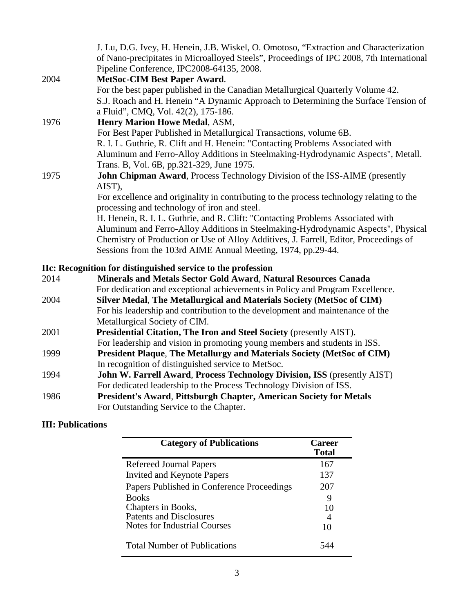|      | J. Lu, D.G. Ivey, H. Henein, J.B. Wiskel, O. Omotoso, "Extraction and Characterization"  |
|------|------------------------------------------------------------------------------------------|
|      | of Nano-precipitates in Microalloyed Steels", Proceedings of IPC 2008, 7th International |
|      | Pipeline Conference, IPC2008-64135, 2008.                                                |
| 2004 | <b>MetSoc-CIM Best Paper Award.</b>                                                      |
|      | For the best paper published in the Canadian Metallurgical Quarterly Volume 42.          |
|      | S.J. Roach and H. Henein "A Dynamic Approach to Determining the Surface Tension of       |
|      | a Fluid", CMQ, Vol. 42(2), 175-186.                                                      |
| 1976 | Henry Marion Howe Medal, ASM,                                                            |
|      | For Best Paper Published in Metallurgical Transactions, volume 6B.                       |
|      | R. I. L. Guthrie, R. Clift and H. Henein: "Contacting Problems Associated with           |
|      | Aluminum and Ferro-Alloy Additions in Steelmaking-Hydrodynamic Aspects", Metall.         |
|      | Trans. B, Vol. 6B, pp.321-329, June 1975.                                                |
| 1975 | <b>John Chipman Award, Process Technology Division of the ISS-AIME (presently</b>        |
|      | AIST),                                                                                   |
|      | For excellence and originality in contributing to the process technology relating to the |
|      | processing and technology of iron and steel.                                             |
|      | H. Henein, R. I. L. Guthrie, and R. Clift: "Contacting Problems Associated with          |
|      | Aluminum and Ferro-Alloy Additions in Steelmaking-Hydrodynamic Aspects", Physical        |
|      | Chemistry of Production or Use of Alloy Additives, J. Farrell, Editor, Proceedings of    |
|      | Sessions from the 103rd AIME Annual Meeting, 1974, pp.29-44.                             |
|      |                                                                                          |

# **IIc: Recognition for distinguished service to the profession**

| 2014                                                                                  | Minerals and Metals Sector Gold Award, Natural Resources Canada               |  |  |
|---------------------------------------------------------------------------------------|-------------------------------------------------------------------------------|--|--|
|                                                                                       | For dedication and exceptional achievements in Policy and Program Excellence. |  |  |
| 2004                                                                                  | Silver Medal, The Metallurgical and Materials Society (MetSoc of CIM)         |  |  |
|                                                                                       | For his leadership and contribution to the development and maintenance of the |  |  |
|                                                                                       | Metallurgical Society of CIM.                                                 |  |  |
| 2001                                                                                  | <b>Presidential Citation, The Iron and Steel Society (presently AIST).</b>    |  |  |
|                                                                                       | For leadership and vision in promoting young members and students in ISS.     |  |  |
| <b>President Plaque, The Metallurgy and Materials Society (MetSoc of CIM)</b><br>1999 |                                                                               |  |  |
|                                                                                       | In recognition of distinguished service to MetSoc.                            |  |  |
| 1994                                                                                  | John W. Farrell Award, Process Technology Division, ISS (presently AIST)      |  |  |
|                                                                                       | For dedicated leadership to the Process Technology Division of ISS.           |  |  |
| 1986                                                                                  | President's Award, Pittsburgh Chapter, American Society for Metals            |  |  |
|                                                                                       | For Outstanding Service to the Chapter.                                       |  |  |

# **III: Publications**

| <b>Category of Publications</b>            | Career<br>Total |
|--------------------------------------------|-----------------|
| Refereed Journal Papers                    | 167             |
| <b>Invited and Keynote Papers</b>          | 137             |
| Papers Published in Conference Proceedings | 207             |
| <b>Books</b>                               | 9               |
| Chapters in Books,                         | 10              |
| <b>Patents and Disclosures</b>             |                 |
| Notes for Industrial Courses               | 10              |
| <b>Total Number of Publications</b>        | 544             |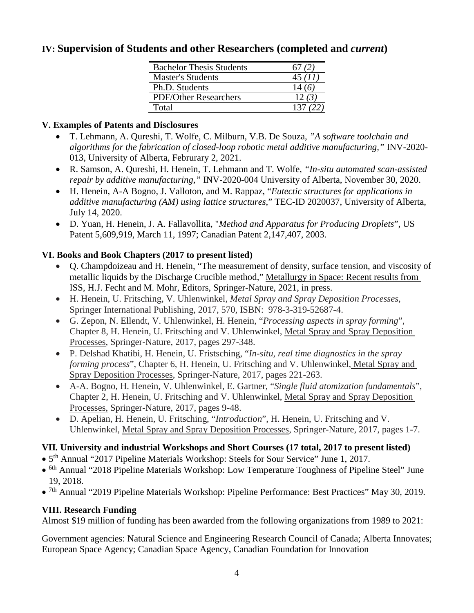# **IV: Supervision of Students and other Researchers (completed and** *current***)**

| <b>Bachelor Thesis Students</b> |        |
|---------------------------------|--------|
| <b>Master's Students</b>        | 45(11) |
| Ph.D. Students                  |        |
| <b>PDF/Other Researchers</b>    | 12(3)  |
| Total                           |        |

### **V. Examples of Patents and Disclosures**

- T. Lehmann, A. Qureshi, T. Wolfe, C. Milburn, V.B. De Souza, *"A software toolchain and algorithms for the fabrication of closed-loop robotic metal additive manufacturing,"* INV-2020- 013, University of Alberta, Februrary 2, 2021.
- R. Samson, A. Qureshi, H. Henein, T. Lehmann and T. Wolfe, *"In-situ automated scan-assisted repair by additive manufacturing,"* INV-2020-004 University of Alberta, November 30, 2020.
- H. Henein, A-A Bogno, J. Valloton, and M. Rappaz, "*Eutectic structures for applications in additive manufacturing (AM) using lattice structures*," TEC-ID 2020037, University of Alberta, July 14, 2020.
- D. Yuan, H. Henein, J. A. Fallavollita, "*Method and Apparatus for Producing Droplets*", US Patent 5,609,919, March 11, 1997; Canadian Patent 2,147,407, 2003.

# **VI. Books and Book Chapters (2017 to present listed)**

- Q. Champdoizeau and H. Henein, "The measurement of density, surface tension, and viscosity of metallic liquids by the Discharge Crucible method," Metallurgy in Space: Recent results from ISS, H.J. Fecht and M. Mohr, Editors, Springer-Nature, 2021, in press.
- H. Henein, U. Fritsching, V. Uhlenwinkel, *Metal Spray and Spray Deposition Processes*, Springer International Publishing, 2017, 570, ISBN: 978-3-319-52687-4.
- G. Zepon, N. Ellendt, V. Uhlenwinkel, H. Henein, "*Processing aspects in spray forming*", Chapter 8, H. Henein, U. Fritsching and V. Uhlenwinkel, Metal Spray and Spray Deposition Processes, Springer-Nature, 2017, pages 297-348.
- P. Delshad Khatibi, H. Henein, U. Fristsching, "*In-situ, real time diagnostics in the spray forming process*", Chapter 6, H. Henein, U. Fritsching and V. Uhlenwinkel, Metal Spray and Spray Deposition Processes, Springer-Nature, 2017, pages 221-263.
- A-A. Bogno, H. Henein, V. Uhlenwinkel, E. Gartner, "*Single fluid atomization fundamentals*", Chapter 2, H. Henein, U. Fritsching and V. Uhlenwinkel, Metal Spray and Spray Deposition Processes, Springer-Nature, 2017, pages 9-48.
- D. Apelian, H. Henein, U. Fritsching, "*Introduction*", H. Henein, U. Fritsching and V. Uhlenwinkel, Metal Spray and Spray Deposition Processes, Springer-Nature, 2017, pages 1-7.

# **VII***.* **University and industrial Workshops and Short Courses (17 total, 2017 to present listed)**

- 5th Annual "2017 Pipeline Materials Workshop: Steels for Sour Service" June 1, 2017.
- 6th Annual "2018 Pipeline Materials Workshop: Low Temperature Toughness of Pipeline Steel" June 19, 2018.
- 7th Annual "2019 Pipeline Materials Workshop: Pipeline Performance: Best Practices" May 30, 2019.

# **VIII. Research Funding**

Almost \$19 million of funding has been awarded from the following organizations from 1989 to 2021:

Government agencies: Natural Science and Engineering Research Council of Canada; Alberta Innovates; European Space Agency; Canadian Space Agency, Canadian Foundation for Innovation